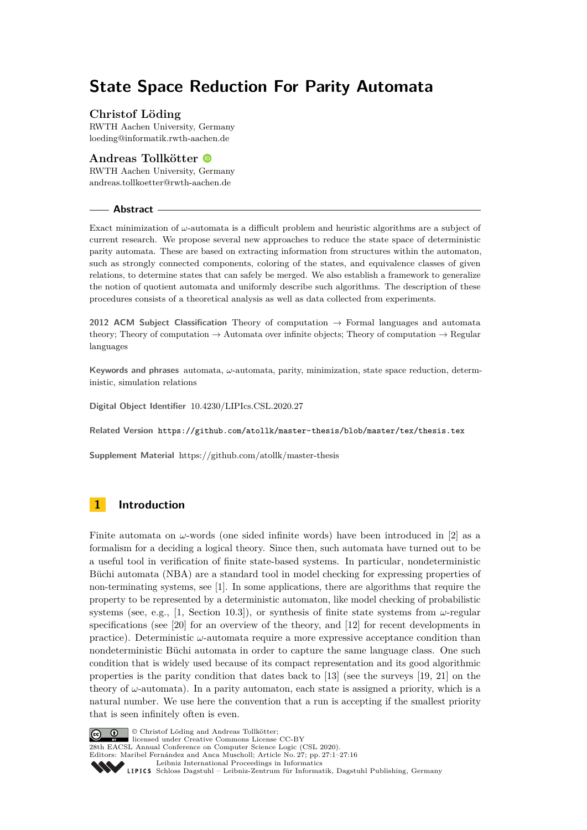# **State Space Reduction For Parity Automata**

## **Christof Löding**

RWTH Aachen University, Germany [loeding@informatik.rwth-aachen.de](mailto:loeding@informatik.rwth-aachen.de)

### **Andreas Tollkötter** RWTH Aachen University, Germany [andreas.tollkoetter@rwth-aachen.de](mailto:andreas.tollkoetter@rwth-aachen.de)

### **Abstract**

Exact minimization of *ω*-automata is a difficult problem and heuristic algorithms are a subject of current research. We propose several new approaches to reduce the state space of deterministic parity automata. These are based on extracting information from structures within the automaton, such as strongly connected components, coloring of the states, and equivalence classes of given relations, to determine states that can safely be merged. We also establish a framework to generalize the notion of quotient automata and uniformly describe such algorithms. The description of these procedures consists of a theoretical analysis as well as data collected from experiments.

**2012 ACM Subject Classification** Theory of computation → Formal languages and automata theory; Theory of computation  $\rightarrow$  Automata over infinite objects; Theory of computation  $\rightarrow$  Regular languages

**Keywords and phrases** automata, *ω*-automata, parity, minimization, state space reduction, deterministic, simulation relations

**Digital Object Identifier** [10.4230/LIPIcs.CSL.2020.27](https://doi.org/10.4230/LIPIcs.CSL.2020.27)

**Related Version** <https://github.com/atollk/master-thesis/blob/master/tex/thesis.tex>

**Supplement Material** https://github.com/atollk/master-thesis

# **1 Introduction**

Finite automata on  $\omega$ -words (one sided infinite words) have been introduced in [\[2\]](#page-14-0) as a formalism for a deciding a logical theory. Since then, such automata have turned out to be a useful tool in verification of finite state-based systems. In particular, nondeterministic Büchi automata (NBA) are a standard tool in model checking for expressing properties of non-terminating systems, see [\[1\]](#page-14-1). In some applications, there are algorithms that require the property to be represented by a deterministic automaton, like model checking of probabilistic systems (see, e.g., [\[1,](#page-14-1) Section 10.3]), or synthesis of finite state systems from *ω*-regular specifications (see [\[20\]](#page-15-0) for an overview of the theory, and [\[12\]](#page-15-1) for recent developments in practice). Deterministic *ω*-automata require a more expressive acceptance condition than nondeterministic Büchi automata in order to capture the same language class. One such condition that is widely used because of its compact representation and its good algorithmic properties is the parity condition that dates back to [\[13\]](#page-15-2) (see the surveys [\[19,](#page-15-3) [21\]](#page-15-4) on the theory of  $\omega$ -automata). In a parity automaton, each state is assigned a priority, which is a natural number. We use here the convention that a run is accepting if the smallest priority that is seen infinitely often is even.



© Christof Löding and Andreas Tollkötter;

licensed under Creative Commons License CC-BY 28th EACSL Annual Conference on Computer Science Logic (CSL 2020).

Editors: Maribel Fernández and Anca Muscholl; Article No. 27; pp. 27:1–27[:16](#page-15-5)

[Leibniz International Proceedings in Informatics](https://www.dagstuhl.de/lipics/)

[Schloss Dagstuhl – Leibniz-Zentrum für Informatik, Dagstuhl Publishing, Germany](https://www.dagstuhl.de)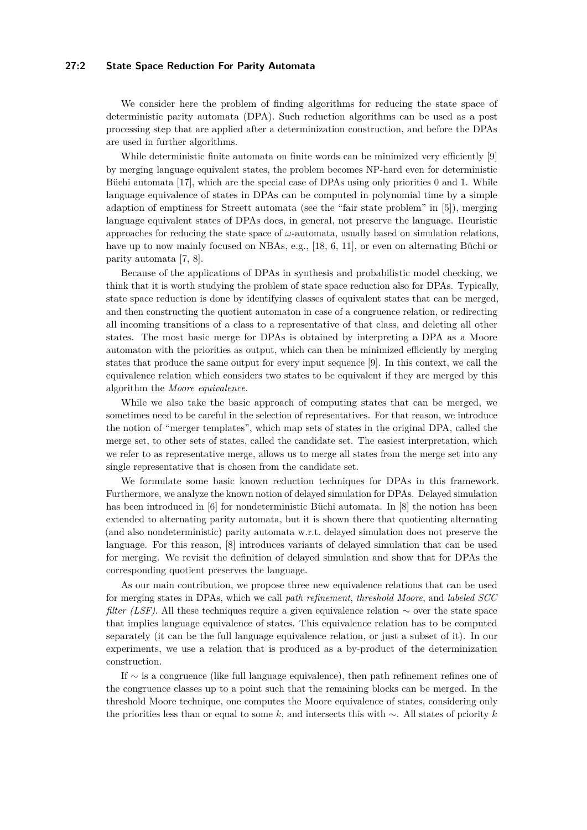### **27:2 State Space Reduction For Parity Automata**

We consider here the problem of finding algorithms for reducing the state space of deterministic parity automata (DPA). Such reduction algorithms can be used as a post processing step that are applied after a determinization construction, and before the DPAs are used in further algorithms.

While deterministic finite automata on finite words can be minimized very efficiently [\[9\]](#page-15-6) by merging language equivalent states, the problem becomes NP-hard even for deterministic Büchi automata [\[17\]](#page-15-7), which are the special case of DPAs using only priorities 0 and 1. While language equivalence of states in DPAs can be computed in polynomial time by a simple adaption of emptiness for Streett automata (see the "fair state problem" in [\[5\]](#page-14-2)), merging language equivalent states of DPAs does, in general, not preserve the language. Heuristic approaches for reducing the state space of  $\omega$ -automata, usually based on simulation relations, have up to now mainly focused on NBAs, e.g., [\[18,](#page-15-8) [6,](#page-14-3) [11\]](#page-15-9), or even on alternating Büchi or parity automata [\[7,](#page-15-10) [8\]](#page-15-11).

Because of the applications of DPAs in synthesis and probabilistic model checking, we think that it is worth studying the problem of state space reduction also for DPAs. Typically, state space reduction is done by identifying classes of equivalent states that can be merged, and then constructing the quotient automaton in case of a congruence relation, or redirecting all incoming transitions of a class to a representative of that class, and deleting all other states. The most basic merge for DPAs is obtained by interpreting a DPA as a Moore automaton with the priorities as output, which can then be minimized efficiently by merging states that produce the same output for every input sequence [\[9\]](#page-15-6). In this context, we call the equivalence relation which considers two states to be equivalent if they are merged by this algorithm the *Moore equivalence*.

While we also take the basic approach of computing states that can be merged, we sometimes need to be careful in the selection of representatives. For that reason, we introduce the notion of "merger templates", which map sets of states in the original DPA, called the merge set, to other sets of states, called the candidate set. The easiest interpretation, which we refer to as representative merge, allows us to merge all states from the merge set into any single representative that is chosen from the candidate set.

We formulate some basic known reduction techniques for DPAs in this framework. Furthermore, we analyze the known notion of delayed simulation for DPAs. Delayed simulation has been introduced in [\[6\]](#page-14-3) for nondeterministic Büchi automata. In [\[8\]](#page-15-11) the notion has been extended to alternating parity automata, but it is shown there that quotienting alternating (and also nondeterministic) parity automata w.r.t. delayed simulation does not preserve the language. For this reason, [\[8\]](#page-15-11) introduces variants of delayed simulation that can be used for merging. We revisit the definition of delayed simulation and show that for DPAs the corresponding quotient preserves the language.

As our main contribution, we propose three new equivalence relations that can be used for merging states in DPAs, which we call *path refinement*, *threshold Moore*, and *labeled SCC filter (LSF)*. All these techniques require a given equivalence relation ∼ over the state space that implies language equivalence of states. This equivalence relation has to be computed separately (it can be the full language equivalence relation, or just a subset of it). In our experiments, we use a relation that is produced as a by-product of the determinization construction.

If ∼ is a congruence (like full language equivalence), then path refinement refines one of the congruence classes up to a point such that the remaining blocks can be merged. In the threshold Moore technique, one computes the Moore equivalence of states, considering only the priorities less than or equal to some *k*, and intersects this with ∼. All states of priority *k*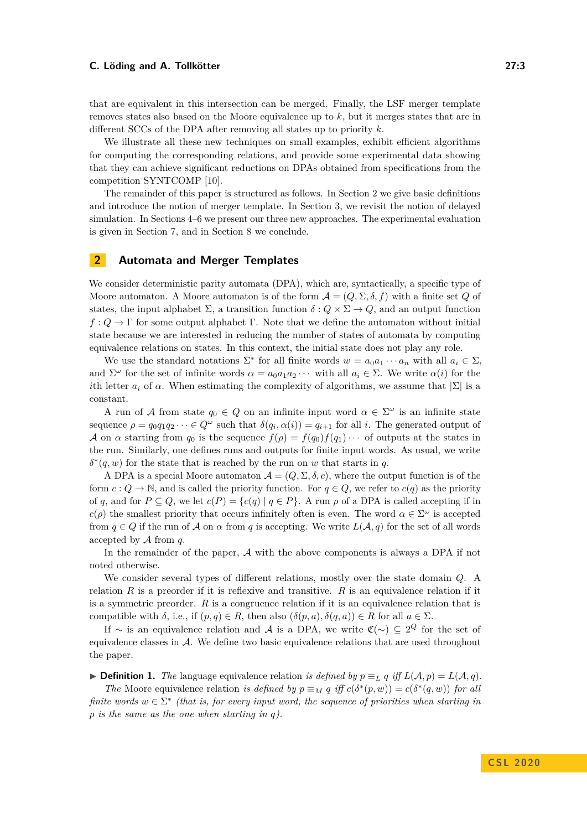that are equivalent in this intersection can be merged. Finally, the LSF merger template removes states also based on the Moore equivalence up to *k*, but it merges states that are in different SCCs of the DPA after removing all states up to priority *k*.

We illustrate all these new techniques on small examples, exhibit efficient algorithms for computing the corresponding relations, and provide some experimental data showing that they can achieve significant reductions on DPAs obtained from specifications from the competition SYNTCOMP [\[10\]](#page-15-12).

The remainder of this paper is structured as follows. In Section [2](#page-2-0) we give basic definitions and introduce the notion of merger template. In Section [3,](#page-5-0) we revisit the notion of delayed simulation. In Sections [4–](#page-6-0)[6](#page-10-0) we present our three new approaches. The experimental evaluation is given in Section [7,](#page-12-0) and in Section [8](#page-14-4) we conclude.

# <span id="page-2-0"></span>**2 Automata and Merger Templates**

We consider deterministic parity automata (DPA), which are, syntactically, a specific type of Moore automaton. A Moore automaton is of the form  $\mathcal{A} = (Q, \Sigma, \delta, f)$  with a finite set Q of states, the input alphabet  $\Sigma$ , a transition function  $\delta: Q \times \Sigma \to Q$ , and an output function  $f: Q \to \Gamma$  for some output alphabet  $\Gamma$ . Note that we define the automaton without initial state because we are interested in reducing the number of states of automata by computing equivalence relations on states. In this context, the initial state does not play any role.

We use the standard notations  $\Sigma^*$  for all finite words  $w = a_0 a_1 \cdots a_n$  with all  $a_i \in \Sigma$ , and  $\Sigma^{\omega}$  for the set of infinite words  $\alpha = a_0 a_1 a_2 \cdots$  with all  $a_i \in \Sigma$ . We write  $\alpha(i)$  for the *i*th letter  $a_i$  of  $\alpha$ . When estimating the complexity of algorithms, we assume that  $|\Sigma|$  is a constant.

A run of A from state  $q_0 \in Q$  on an infinite input word  $\alpha \in \Sigma^\omega$  is an infinite state sequence  $\rho = q_0 q_1 q_2 \cdots \in Q^{\omega}$  such that  $\delta(q_i, \alpha(i)) = q_{i+1}$  for all *i*. The generated output of A on  $\alpha$  starting from  $q_0$  is the sequence  $f(\rho) = f(q_0)f(q_1) \cdots$  of outputs at the states in the run. Similarly, one defines runs and outputs for finite input words. As usual, we write  $\delta^*(q, w)$  for the state that is reached by the run on *w* that starts in *q*.

A DPA is a special Moore automaton  $\mathcal{A} = (Q, \Sigma, \delta, c)$ , where the output function is of the form  $c: Q \to \mathbb{N}$ , and is called the priority function. For  $q \in Q$ , we refer to  $c(q)$  as the priority of *q*, and for  $P \subseteq Q$ , we let  $c(P) = \{c(q) | q \in P\}$ . A run  $\rho$  of a DPA is called accepting if in  $c(\rho)$  the smallest priority that occurs infinitely often is even. The word  $\alpha \in \Sigma^{\omega}$  is accepted from  $q \in Q$  if the run of A on  $\alpha$  from  $q$  is accepting. We write  $L(\mathcal{A}, q)$  for the set of all words accepted by A from *q*.

In the remainder of the paper, A with the above components is always a DPA if not noted otherwise.

We consider several types of different relations, mostly over the state domain *Q*. A relation *R* is a preorder if it is reflexive and transitive. *R* is an equivalence relation if it is a symmetric preorder. *R* is a congruence relation if it is an equivalence relation that is compatible with  $\delta$ , i.e., if  $(p,q) \in R$ , then also  $(\delta(p,a), \delta(q,a)) \in R$  for all  $a \in \Sigma$ .

If  $\sim$  is an equivalence relation and A is a DPA, we write  $\mathfrak{C}(\sim) \subseteq 2^Q$  for the set of equivalence classes in  $\mathcal{A}$ . We define two basic equivalence relations that are used throughout the paper.

▶ **Definition 1.** *The* language equivalence relation *is defined by*  $p \equiv$ <sub>*L*</sub> *q iff*  $L(A, p) = L(A, q)$ . *The* Moore equivalence relation *is defined by*  $p \equiv_M q$  *iff*  $c(\delta^*(p, w)) = c(\delta^*(q, w))$  *for all* 

*finite words*  $w \in \Sigma^*$  (that is, for every input word, the sequence of priorities when starting in *p is the same as the one when starting in q).*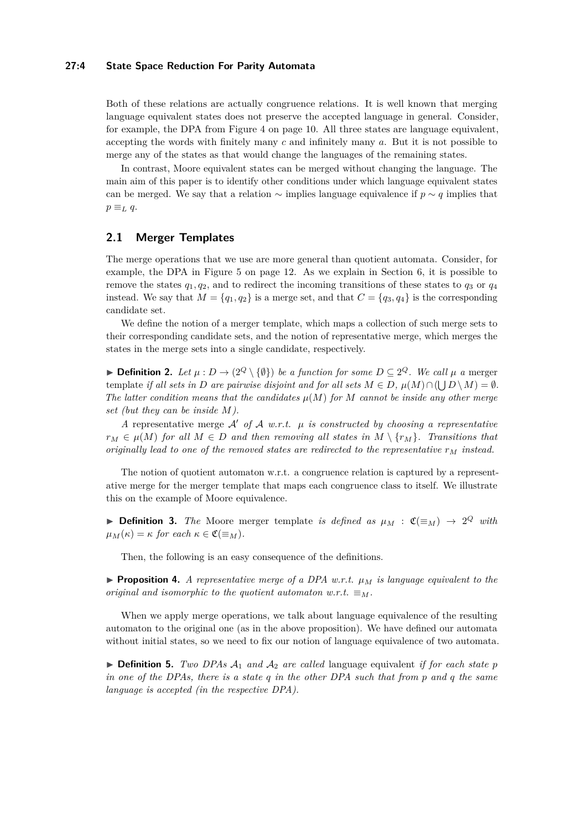### **27:4 State Space Reduction For Parity Automata**

Both of these relations are actually congruence relations. It is well known that merging language equivalent states does not preserve the accepted language in general. Consider, for example, the DPA from Figure [4](#page-9-0) on page [10.](#page-9-0) All three states are language equivalent, accepting the words with finitely many *c* and infinitely many *a*. But it is not possible to merge any of the states as that would change the languages of the remaining states.

In contrast, Moore equivalent states can be merged without changing the language. The main aim of this paper is to identify other conditions under which language equivalent states can be merged. We say that a relation ∼ implies language equivalence if *p* ∼ *q* implies that  $p \equiv_L q$ .

### **2.1 Merger Templates**

The merge operations that we use are more general than quotient automata. Consider, for example, the DPA in Figure [5](#page-11-0) on page [12.](#page-11-0) As we explain in Section [6,](#page-10-0) it is possible to remove the states  $q_1, q_2$ , and to redirect the incoming transitions of these states to  $q_3$  or  $q_4$ instead. We say that  $M = \{q_1, q_2\}$  is a merge set, and that  $C = \{q_3, q_4\}$  is the corresponding candidate set.

We define the notion of a merger template, which maps a collection of such merge sets to their corresponding candidate sets, and the notion of representative merge, which merges the states in the merge sets into a single candidate, respectively.

**► Definition 2.** Let  $\mu$  :  $D \to (2^Q \setminus \{\emptyset\})$  be a function for some  $D \subseteq 2^Q$ . We call  $\mu$  a merger template *if all sets in D* are pairwise disjoint and for all sets  $M \in D$ ,  $\mu(M) \cap (\bigcup D \setminus M) = \emptyset$ . *The latter condition means that the candidates*  $\mu(M)$  *for M cannot be inside any other merge set (but they can be inside M).*

*A* representative merge  $A'$  *of*  $A$  *w.r.t.*  $\mu$  *is constructed by choosing a representative*  $r_M \in \mu(M)$  *for all*  $M \in D$  *and then removing all states in*  $M \setminus \{r_M\}$ *. Transitions that originally lead to one of the removed states are redirected to the representative r<sup>M</sup> instead.*

The notion of quotient automaton w.r.t. a congruence relation is captured by a representative merge for the merger template that maps each congruence class to itself. We illustrate this on the example of Moore equivalence.

**Definition 3.** The Moore merger template is defined as  $\mu_M$  :  $\mathfrak{C}(\equiv_M) \rightarrow 2^Q$  with  $\mu_M(\kappa) = \kappa$  *for each*  $\kappa \in \mathfrak{C}(\equiv_M)$ .

Then, the following is an easy consequence of the definitions.

**Proposition 4.** *A representative merge of a DPA w.r.t.*  $\mu_M$  *is language equivalent to the original and isomorphic to the quotient automaton w.r.t.*  $\equiv_M$ .

When we apply merge operations, we talk about language equivalence of the resulting automaton to the original one (as in the above proposition). We have defined our automata without initial states, so we need to fix our notion of language equivalence of two automata.

 $\triangleright$  **Definition 5.** *Two DPAs*  $\mathcal{A}_1$  *and*  $\mathcal{A}_2$  *are called* language equivalent *if for each state p in one of the DPAs, there is a state q in the other DPA such that from p and q the same language is accepted (in the respective DPA).*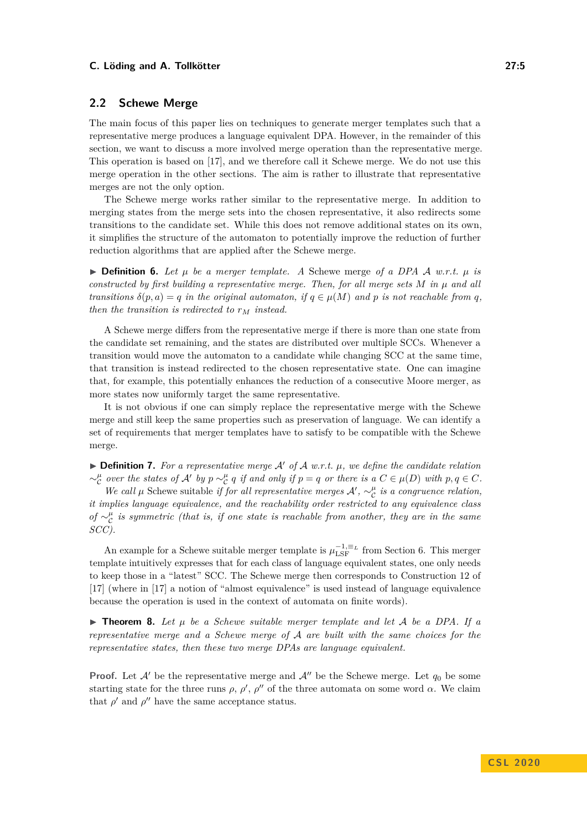### **2.2 Schewe Merge**

The main focus of this paper lies on techniques to generate merger templates such that a representative merge produces a language equivalent DPA. However, in the remainder of this section, we want to discuss a more involved merge operation than the representative merge. This operation is based on [\[17\]](#page-15-7), and we therefore call it Schewe merge. We do not use this merge operation in the other sections. The aim is rather to illustrate that representative merges are not the only option.

The Schewe merge works rather similar to the representative merge. In addition to merging states from the merge sets into the chosen representative, it also redirects some transitions to the candidate set. While this does not remove additional states on its own, it simplifies the structure of the automaton to potentially improve the reduction of further reduction algorithms that are applied after the Schewe merge.

 $\triangleright$  **Definition 6.** Let  $\mu$  be a merger template. A Schewe merge of a DPA A w.r.t.  $\mu$  is *constructed by first building a representative merge. Then, for all merge sets*  $M$  *in*  $\mu$  *and all transitions*  $\delta(p, a) = q$  *in the original automaton, if*  $q \in \mu(M)$  *and p is not reachable from q, then the transition is redirected to*  $r_M$  *instead.* 

A Schewe merge differs from the representative merge if there is more than one state from the candidate set remaining, and the states are distributed over multiple SCCs. Whenever a transition would move the automaton to a candidate while changing SCC at the same time, that transition is instead redirected to the chosen representative state. One can imagine that, for example, this potentially enhances the reduction of a consecutive Moore merger, as more states now uniformly target the same representative.

It is not obvious if one can simply replace the representative merge with the Schewe merge and still keep the same properties such as preservation of language. We can identify a set of requirements that merger templates have to satisfy to be compatible with the Schewe merge.

 $\triangleright$  **Definition 7.** For a representative merge A' of A w.r.t.  $\mu$ , we define the candidate relation  $\sim_c^{\mu}$  over the states of  $\mathcal{A}'$  by  $p \sim_c^{\mu} q$  if and only if  $p = q$  or there is a  $C \in \mu(D)$  with  $p, q \in C$ .

*We call*  $\mu$  Schewe suitable *if for all representative merges*  $\mathcal{A}'$ ,  $\sim_{\mathcal{C}}^{\mu}$  *is a congruence relation, it implies language equivalence, and the reachability order restricted to any equivalence class of* ∼ $^{\mu}_{\mathcal{C}}$  *is symmetric (that is, if one state is reachable from another, they are in the same SCC).*

An example for a Schewe suitable merger template is  $\mu_{\text{LSF}}^{-1, \equiv_L}$  from Section [6.](#page-10-0) This merger template intuitively expresses that for each class of language equivalent states, one only needs to keep those in a "latest" SCC. The Schewe merge then corresponds to Construction 12 of [\[17\]](#page-15-7) (where in [\[17\]](#page-15-7) a notion of "almost equivalence" is used instead of language equivalence because the operation is used in the context of automata on finite words).

 $\triangleright$  **Theorem 8.** Let  $\mu$  be a Schewe suitable merger template and let  $\mathcal A$  be a DPA. If a *representative merge and a Schewe merge of* A *are built with the same choices for the representative states, then these two merge DPAs are language equivalent.*

**Proof.** Let  $\mathcal{A}'$  be the representative merge and  $\mathcal{A}''$  be the Schewe merge. Let  $q_0$  be some starting state for the three runs  $\rho$ ,  $\rho'$ ,  $\rho''$  of the three automata on some word  $\alpha$ . We claim that  $\rho'$  and  $\rho''$  have the same acceptance status.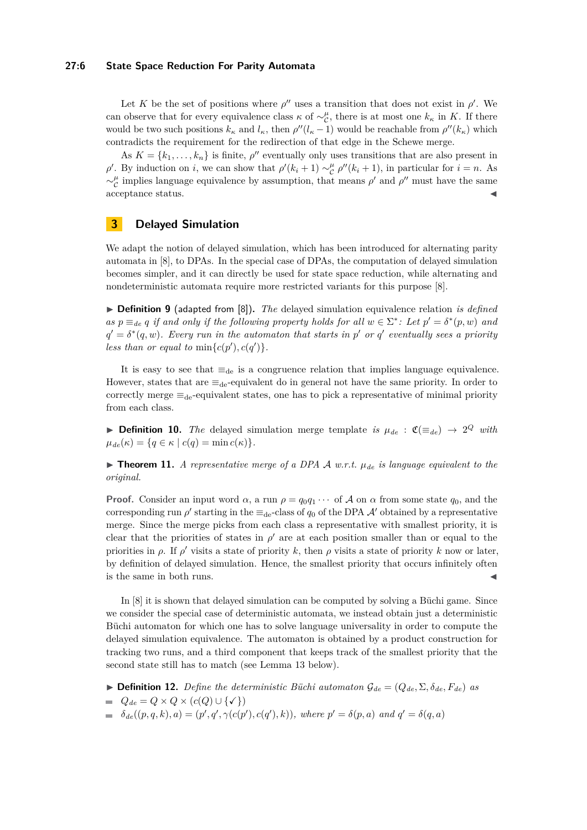### **27:6 State Space Reduction For Parity Automata**

Let *K* be the set of positions where  $\rho''$  uses a transition that does not exist in  $\rho'$ . We can observe that for every equivalence class  $\kappa$  of  $\sim_{\mathcal{C}}^{\mu}$ , there is at most one  $k_{\kappa}$  in *K*. If there would be two such positions  $k_{\kappa}$  and  $l_{\kappa}$ , then  $\rho''(l_{\kappa}-1)$  would be reachable from  $\rho''(k_{\kappa})$  which contradicts the requirement for the redirection of that edge in the Schewe merge.

As  $K = \{k_1, \ldots, k_n\}$  is finite,  $\rho''$  eventually only uses transitions that are also present in *ρ*<sup> $\prime$ </sup>. By induction on *i*, we can show that  $\rho$ <sup>'</sup>( $k_i + 1$ ) ∼<sup> $\mu$ </sup><sub>c</sub><sup> $\mu$ </sup><sup>'</sup>( $k_i + 1$ ), in particular for *i* = *n*. As  $\sim_{\mathcal{C}}^{\mu}$  implies language equivalence by assumption, that means *ρ*' and *ρ*'' must have the same acceptance status.

# <span id="page-5-0"></span>**3 Delayed Simulation**

We adapt the notion of delayed simulation, which has been introduced for alternating parity automata in [\[8\]](#page-15-11), to DPAs. In the special case of DPAs, the computation of delayed simulation becomes simpler, and it can directly be used for state space reduction, while alternating and nondeterministic automata require more restricted variants for this purpose [\[8\]](#page-15-11).

I **Definition 9** (adapted from [\[8\]](#page-15-11))**.** *The* delayed simulation equivalence relation *is defined as*  $p \equiv_{de} q$  *if and only if the following property holds for all*  $w \in \Sigma^*$ : Let  $p' = \delta^*(p, w)$  *and*  $q' = \delta^*(q, w)$ . Every run in the automaton that starts in p' or q' eventually sees a priority less than or equal to  $\min\{c(p'), c(q')\}$ *.* 

It is easy to see that  $\equiv_{de}$  is a congruence relation that implies language equivalence. However, states that are  $\equiv_{de}$ -equivalent do in general not have the same priority. In order to correctly merge  $\equiv_{de}$ -equivalent states, one has to pick a representative of minimal priority from each class.

**► Definition 10.** *The* delayed simulation merge template *is*  $\mu_{de}$  :  $\mathfrak{C}(\equiv_{de}) \rightarrow 2^Q$  *with*  $\mu_{de}(\kappa) = \{q \in \kappa \mid c(q) = \min c(\kappa)\}.$ 

 $\triangleright$  **Theorem 11.** *A representative merge of a DPA A w.r.t.*  $\mu_{de}$  *is language equivalent to the original.*

**Proof.** Consider an input word  $\alpha$ , a run  $\rho = q_0 q_1 \cdots$  of A on  $\alpha$  from some state  $q_0$ , and the corresponding run  $\rho'$  starting in the  $\equiv_{\text{de}}$ -class of  $q_0$  of the DPA  $\mathcal{A}'$  obtained by a representative merge. Since the merge picks from each class a representative with smallest priority, it is clear that the priorities of states in  $\rho'$  are at each position smaller than or equal to the priorities in  $\rho$ . If  $\rho'$  visits a state of priority *k*, then  $\rho$  visits a state of priority *k* now or later, by definition of delayed simulation. Hence, the smallest priority that occurs infinitely often is the same in both runs.  $\blacksquare$ 

In [\[8\]](#page-15-11) it is shown that delayed simulation can be computed by solving a Büchi game. Since we consider the special case of deterministic automata, we instead obtain just a deterministic Büchi automaton for which one has to solve language universality in order to compute the delayed simulation equivalence. The automaton is obtained by a product construction for tracking two runs, and a third component that keeps track of the smallest priority that the second state still has to match (see Lemma [13](#page-6-1) below).

 $\triangleright$  **Definition 12.** *Define the deterministic Büchi automaton*  $\mathcal{G}_{de} = (Q_{de}, \Sigma, \delta_{de}, F_{de})$  *as* 

- $Q_{de} = Q \times Q \times (c(Q) \cup \{\checkmark\})$
- $\delta_{de}((p,q,k),a) = (p', q', \gamma(c(p'), c(q'), k)),$  where  $p' = \delta(p,a)$  and  $q' = \delta(q,a)$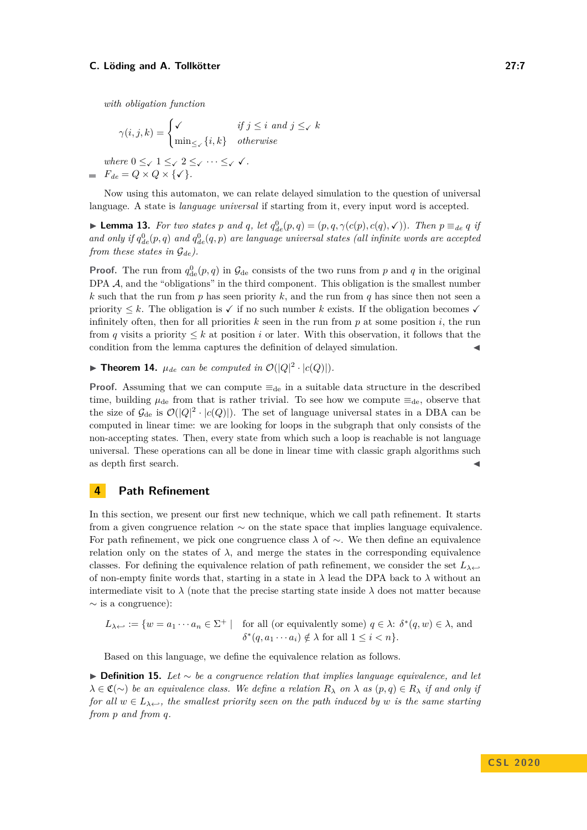*with obligation function*

$$
\gamma(i,j,k) = \begin{cases}\n\checkmark & \text{if } j \leq i \text{ and } j \leq \checkmark \text{ } k \\
\min_{\leq \checkmark} \{i,k\} & otherwise\n\end{cases}
$$
\nwhere  $0 \leq \checkmark 1 \leq \checkmark 2 \leq \checkmark \cdots \leq \checkmark \checkmark$ .  
\n
$$
F_{de} = Q \times Q \times \{\checkmark\}.
$$

Now using this automaton, we can relate delayed simulation to the question of universal language. A state is *language universal* if starting from it, every input word is accepted.

<span id="page-6-1"></span>**Lemma 13.** For two states p and q, let  $q_{de}^0(p,q) = (p,q,\gamma(c(p),c(q),\mathcal{C}))$ . Then  $p \equiv_{de} q$  if *and only if*  $q_{de}^0(p,q)$  *and*  $q_{de}^0(q,p)$  *are language universal states (all infinite words are accepted from these states in*  $\mathcal{G}_{de}$ *).* 

**Proof.** The run from  $q_{de}^0(p,q)$  in  $\mathcal{G}_{de}$  consists of the two runs from *p* and *q* in the original DPA  $\mathcal{A}$ , and the "obligations" in the third component. This obligation is the smallest number *k* such that the run from *p* has seen priority *k*, and the run from *q* has since then not seen a priority  $\leq k$ . The obligation is  $\checkmark$  if no such number k exists. If the obligation becomes  $\checkmark$ infinitely often, then for all priorities  $k$  seen in the run from  $p$  at some position  $i$ , the run from *q* visits a priority  $\leq k$  at position *i* or later. With this observation, it follows that the condition from the lemma captures the definition of delayed simulation.

**Find Theorem 14.**  $\mu_{de}$  can be computed in  $\mathcal{O}(|Q|^2 \cdot |c(Q)|)$ .

**Proof.** Assuming that we can compute  $\equiv_{de}$  in a suitable data structure in the described time, building  $\mu_{\text{de}}$  from that is rather trivial. To see how we compute  $\equiv_{\text{de}}$ , observe that the size of  $\mathcal{G}_{de}$  is  $\mathcal{O}(|Q|^2 \cdot |c(Q)|)$ . The set of language universal states in a DBA can be computed in linear time: we are looking for loops in the subgraph that only consists of the non-accepting states. Then, every state from which such a loop is reachable is not language universal. These operations can all be done in linear time with classic graph algorithms such as depth first search.

# <span id="page-6-0"></span>**4 Path Refinement**

In this section, we present our first new technique, which we call path refinement. It starts from a given congruence relation ∼ on the state space that implies language equivalence. For path refinement, we pick one congruence class *λ* of ∼. We then define an equivalence relation only on the states of  $\lambda$ , and merge the states in the corresponding equivalence classes. For defining the equivalence relation of path refinement, we consider the set  $L_{\lambda} \leftrightarrow$ of non-empty finite words that, starting in a state in *λ* lead the DPA back to *λ* without an intermediate visit to  $\lambda$  (note that the precise starting state inside  $\lambda$  does not matter because  $\sim$  is a congruence):

$$
L_{\lambda \leftrightarrow} := \{ w = a_1 \cdots a_n \in \Sigma^+ \mid \text{ for all (or equivalently some) } q \in \lambda : \delta^*(q, w) \in \lambda, \text{ and } \delta^*(q, a_1 \cdots a_i) \notin \lambda \text{ for all } 1 \le i < n \}.
$$

Based on this language, we define the equivalence relation as follows.

I **Definition 15.** *Let* ∼ *be a congruence relation that implies language equivalence, and let*  $\lambda \in \mathfrak{C}(\sim)$  *be an equivalence class. We define a relation*  $R_{\lambda}$  *on*  $\lambda$  *as*  $(p, q) \in R_{\lambda}$  *if and only if for all*  $w \in L_{\lambda}$ , the smallest priority seen on the path induced by w is the same starting *from p and from q.*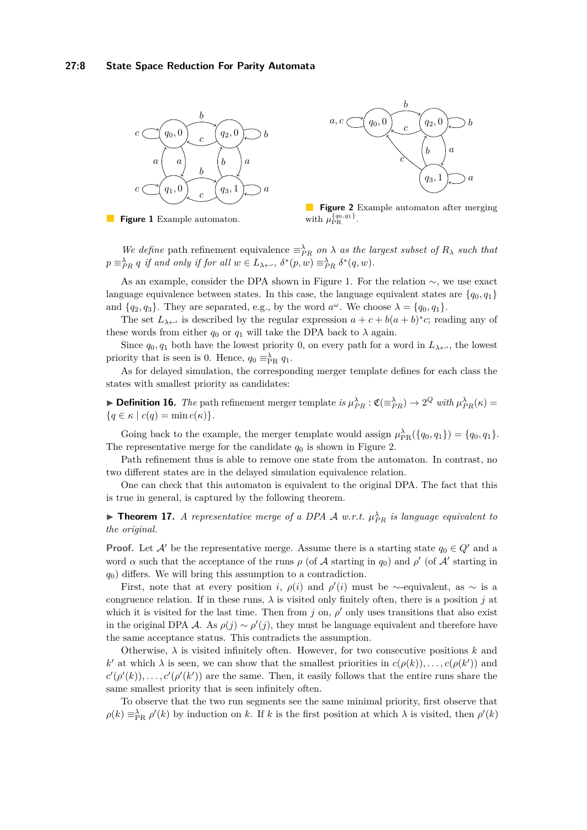<span id="page-7-0"></span>





**Figure 2** Example automaton after merging with  $\mu_{\text{PR}}^{\{q_0, q_1\}}$ .

*We define* path refinement equivalence  $\equiv_{PR}^{\lambda}$  *on*  $\lambda$  *as the largest subset of*  $R_{\lambda}$  *such that*  $p \equiv_{PR}^{\lambda} q$  *if and only if for all*  $w \in L_{\lambda \leftarrow}$ ,  $\delta^*(p, w) \equiv_{PR}^{\lambda} \delta^*(q, w)$ .

As an example, consider the DPA shown in Figure [1.](#page-7-0) For the relation ∼, we use exact language equivalence between states. In this case, the language equivalent states are  $\{q_0, q_1\}$ and  ${q_2, q_3}$ . They are separated, e.g., by the word  $a^{\omega}$ . We choose  $\lambda = {q_0, q_1}$ .

The set  $L_{\lambda}$  is described by the regular expression  $a + c + b(a + b)^*c$ ; reading any of these words from either  $q_0$  or  $q_1$  will take the DPA back to  $\lambda$  again.

Since  $q_0, q_1$  both have the lowest priority 0, on every path for a word in  $L_{\lambda \leftarrow}$ , the lowest priority that is seen is 0. Hence,  $q_0 \equiv_{PR}^{\lambda} q_1$ .

As for delayed simulation, the corresponding merger template defines for each class the states with smallest priority as candidates:

**Definition 16.** *The* path refinement merger template *is*  $\mu_{PR}^{\lambda}$  :  $\mathfrak{C}(\equiv_{PR}^{\lambda}) \rightarrow 2^Q$  *with*  $\mu_{PR}^{\lambda}(\kappa)$  =  ${q \in \kappa \mid c(q) = \min c(\kappa)}.$ 

Going back to the example, the merger template would assign  $\mu_{PR}^{\lambda}(\lbrace q_0, q_1 \rbrace) = \lbrace q_0, q_1 \rbrace$ . The representative merge for the candidate  $q_0$  is shown in Figure [2.](#page-7-0)

Path refinement thus is able to remove one state from the automaton. In contrast, no two different states are in the delayed simulation equivalence relation.

One can check that this automaton is equivalent to the original DPA. The fact that this is true in general, is captured by the following theorem.

**Theorem 17.** *A representative merge of a DPA A w.r.t.*  $\mu_{PR}^{\lambda}$  *is language equivalent to the original.*

**Proof.** Let  $\mathcal{A}'$  be the representative merge. Assume there is a starting state  $q_0 \in Q'$  and a word  $\alpha$  such that the acceptance of the runs  $\rho$  (of  $\mathcal A$  starting in  $q_0$ ) and  $\rho'$  (of  $\mathcal A'$  starting in *q*0) differs. We will bring this assumption to a contradiction.

First, note that at every position *i*,  $\rho(i)$  and  $\rho'(i)$  must be ∼-equivalent, as ∼ is a congruence relation. If in these runs,  $\lambda$  is visited only finitely often, there is a position *j* at which it is visited for the last time. Then from  $j$  on,  $\rho'$  only uses transitions that also exist in the original DPA A. As  $\rho(j) \sim \rho'(j)$ , they must be language equivalent and therefore have the same acceptance status. This contradicts the assumption.

Otherwise,  $\lambda$  is visited infinitely often. However, for two consecutive positions  $k$  and  $k'$  at which  $\lambda$  is seen, we can show that the smallest priorities in  $c(\rho(k)), \ldots, c(\rho(k'))$  and  $c'(\rho'(k))$ , ...,  $c'(\rho'(k'))$  are the same. Then, it easily follows that the entire runs share the same smallest priority that is seen infinitely often.

To observe that the two run segments see the same minimal priority, first observe that  $\rho(k) \equiv_{\text{PR}}^{\lambda} \rho'(k)$  by induction on *k*. If *k* is the first position at which  $\lambda$  is visited, then  $\rho'(k)$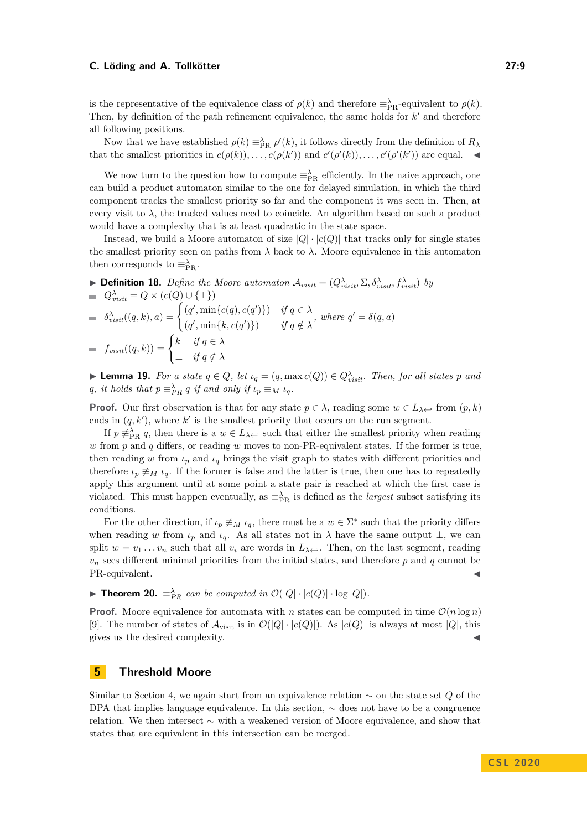is the representative of the equivalence class of  $\rho(k)$  and therefore  $\equiv_{\text{PR}}^{\lambda}$ -equivalent to  $\rho(k)$ . Then, by definition of the path refinement equivalence, the same holds for  $k'$  and therefore all following positions.

Now that we have established  $\rho(k) \equiv_{PR}^{\lambda} \rho'(k)$ , it follows directly from the definition of  $R_{\lambda}$ that the smallest priorities in  $c(\rho(k)), \ldots, c(\rho(k'))$  and  $c'(\rho'(k)), \ldots, c'(\rho'(k'))$  are equal.

We now turn to the question how to compute  $\equiv_{PR}^{\lambda}$  efficiently. In the naive approach, one can build a product automaton similar to the one for delayed simulation, in which the third component tracks the smallest priority so far and the component it was seen in. Then, at every visit to  $\lambda$ , the tracked values need to coincide. An algorithm based on such a product would have a complexity that is at least quadratic in the state space.

Instead, we build a Moore automaton of size  $|Q| \cdot |c(Q)|$  that tracks only for single states the smallest priority seen on paths from  $\lambda$  back to  $\lambda$ . Moore equivalence in this automaton then corresponds to  $\equiv_{PR}^{\lambda}$ .

 $\blacktriangleright$  **Definition 18.** *Define the Moore automaton*  $\mathcal{A}_{visit} = (Q^{\lambda}_{visit}, \Sigma, \delta^{\lambda}_{visit}, f^{\lambda}_{visit})$  *by*  $Q^{\lambda}_{visit} = Q \times (c(Q) \cup {\{\perp\}})$  $\delta^{\lambda}_{visit}((q, k), a) = \begin{cases} (q', \min\{c(q), c(q')\}) & \text{if } q \in \lambda \\ (q', \min\{c(q), c(q')\}) & \text{if } q \in \lambda \end{cases}$  $(q', \min\{k, c(q')\})$  *if*  $q \notin \lambda$ *, where*  $q' = \delta(q, a)$  $f_{visit}((q,k)) = \begin{cases} k & \text{if } q \in \lambda \\ 0 & \text{if } q \in \lambda \end{cases}$ ⊥ *if q /*∈ *λ*

► **Lemma 19.** *For a state*  $q \in Q$ *, let*  $\iota_q = (q, \max c(Q)) \in Q_{visit}^{\lambda}$ *. Then, for all states*  $p$  *and q*, *it holds that*  $p \equiv_{PR}^{\lambda} q$  *if and only if*  $\iota_p \equiv_M \iota_q$ .

**Proof.** Our first observation is that for any state  $p \in \lambda$ , reading some  $w \in L_{\lambda \leftarrow}$  from  $(p, k)$ ends in  $(q, k')$ , where  $k'$  is the smallest priority that occurs on the run segment.

If  $p \neq_{\text{PR}}^{\lambda} q$ , then there is a  $w \in L_{\lambda}$  such that either the smallest priority when reading *w* from *p* and *q* differs, or reading *w* moves to non-PR-equivalent states. If the former is true, then reading *w* from  $\iota_p$  and  $\iota_q$  brings the visit graph to states with different priorities and therefore  $\iota_p \neq M$   $\iota_q$ . If the former is false and the latter is true, then one has to repeatedly apply this argument until at some point a state pair is reached at which the first case is violated. This must happen eventually, as  $\equiv_{PR}^{\lambda}$  is defined as the *largest* subset satisfying its conditions.

For the other direction, if  $\iota_p \neq_M \iota_q$ , there must be a  $w \in \Sigma^*$  such that the priority differs when reading *w* from  $\iota_p$  and  $\iota_q$ . As all states not in  $\lambda$  have the same output  $\bot$ , we can split  $w = v_1 \ldots v_n$  such that all  $v_i$  are words in  $L_{\lambda} \leftrightarrow$ . Then, on the last segment, reading  $v_n$  sees different minimal priorities from the initial states, and therefore  $p$  and  $q$  cannot be PR-equivalent.

▶ **Theorem 20.**  $\equiv_{PR}^{\lambda}$  *can be computed in*  $\mathcal{O}(|Q| \cdot |c(Q)| \cdot \log |Q|)$ *.* 

**Proof.** Moore equivalence for automata with *n* states can be computed in time  $\mathcal{O}(n \log n)$ [\[9\]](#page-15-6). The number of states of  $\mathcal{A}_{\text{visit}}$  is in  $\mathcal{O}(|Q| \cdot |c(Q)|)$ . As  $|c(Q)|$  is always at most  $|Q|$ , this gives us the desired complexity.

# <span id="page-8-1"></span>**5 Threshold Moore**

<span id="page-8-0"></span>Similar to Section [4,](#page-6-0) we again start from an equivalence relation ∼ on the state set *Q* of the DPA that implies language equivalence. In this section, ∼ does not have to be a congruence relation. We then intersect ∼ with a weakened version of Moore equivalence, and show that states that are equivalent in this intersection can be merged.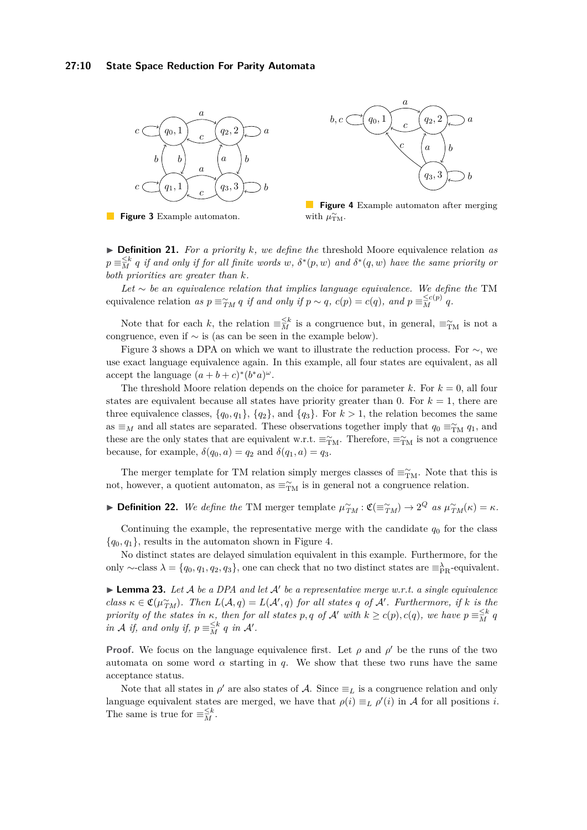<span id="page-9-0"></span>





**Figure 4** Example automaton after merging with  $\mu_{\text{TM}}^{\sim}$ .

I **Definition 21.** *For a priority k, we define the* threshold Moore equivalence relation *as*  $p \equiv \frac{\leq k}{M}$  *q if and only if for all finite words w*,  $\delta^{*}(p, w)$  *and*  $\delta^{*}(q, w)$  *have the same priority or both priorities are greater than k.*

*Let* ∼ *be an equivalence relation that implies language equivalence. We define the* TM equivalence relation as  $p \equiv_{TM}^{\infty} q$  if and only if  $p \sim q$ ,  $c(p) = c(q)$ , and  $p \equiv_{M}^{\leq c(p)} q$ .

Note that for each *k*, the relation  $\equiv \frac{\leq k}{M}$  is a congruence but, in general,  $\equiv_{\text{TM}}^{\sim}$  is not a congruence, even if ∼ is (as can be seen in the example below).

Figure [3](#page-9-0) shows a DPA on which we want to illustrate the reduction process. For ∼, we use exact language equivalence again. In this example, all four states are equivalent, as all accept the language  $(a + b + c)^*(b^*a)^{\omega}$ .

The threshold Moore relation depends on the choice for parameter  $k$ . For  $k = 0$ , all four states are equivalent because all states have priority greater than 0. For  $k = 1$ , there are three equivalence classes,  $\{q_0, q_1\}$ ,  $\{q_2\}$ , and  $\{q_3\}$ . For  $k > 1$ , the relation becomes the same as  $\equiv$ <sub>*M*</sub> and all states are separated. These observations together imply that  $q_0 \equiv_{\text{TM}}^{\sim} q_1$ , and these are the only states that are equivalent w.r.t.  $\equiv_{\text{TM}}^{\sim}$ . Therefore,  $\equiv_{\text{TM}}^{\sim}$  is not a congruence because, for example,  $\delta(q_0, a) = q_2$  and  $\delta(q_1, a) = q_3$ .

The merger template for TM relation simply merges classes of  $\equiv_{\text{TM}}^{\sim}$ . Note that this is not, however, a quotient automaton, as  $\equiv_{\text{TM}}^{\sim}$  is in general not a congruence relation.

► **Definition 22.** We define the TM merger template  $\mu_{TM}^{\sim}$ :  $\mathfrak{C}(\equiv_{TM}^{\sim}) \rightarrow 2^Q$  *as*  $\mu_{TM}^{\sim}(\kappa) = \kappa$ .

Continuing the example, the representative merge with the candidate  $q_0$  for the class  ${q_0, q_1}$ , results in the automaton shown in Figure [4.](#page-9-0)

No distinct states are delayed simulation equivalent in this example. Furthermore, for the only ∼-class  $\lambda = \{q_0, q_1, q_2, q_3\}$ , one can check that no two distinct states are  $\equiv_{\rm PR}^{\lambda}$ -equivalent.

<span id="page-9-1"></span> $\blacktriangleright$  **Lemma 23.** Let A be a DPA and let A' be a representative merge w.r.t. a single equivalence  $class \kappa \in \mathfrak{C}(\mu_{TM}^{\sim})$ *. Then*  $L(\mathcal{A}, q) = L(\mathcal{A}', q)$  for all states q of  $\mathcal{A}'$ *. Furthermore, if*  $k$  *is the priority of the states in*  $\kappa$ *, then for all states*  $p, q$  *of*  $\mathcal{A}'$  *with*  $k \ge c(p), c(q)$ *, we have*  $p \equiv \frac{\le k}{M} q$ *in A if,* and only *if,*  $p \equiv \frac{\leq k}{M} q$  *in A'*.

**Proof.** We focus on the language equivalence first. Let  $\rho$  and  $\rho'$  be the runs of the two automata on some word  $\alpha$  starting in *q*. We show that these two runs have the same acceptance status.

Note that all states in  $\rho'$  are also states of A. Since  $\equiv_L$  is a congruence relation and only language equivalent states are merged, we have that  $\rho(i) \equiv_L \rho'(i)$  in A for all positions *i*. The same is true for  $\equiv_M^{\leq k}$ .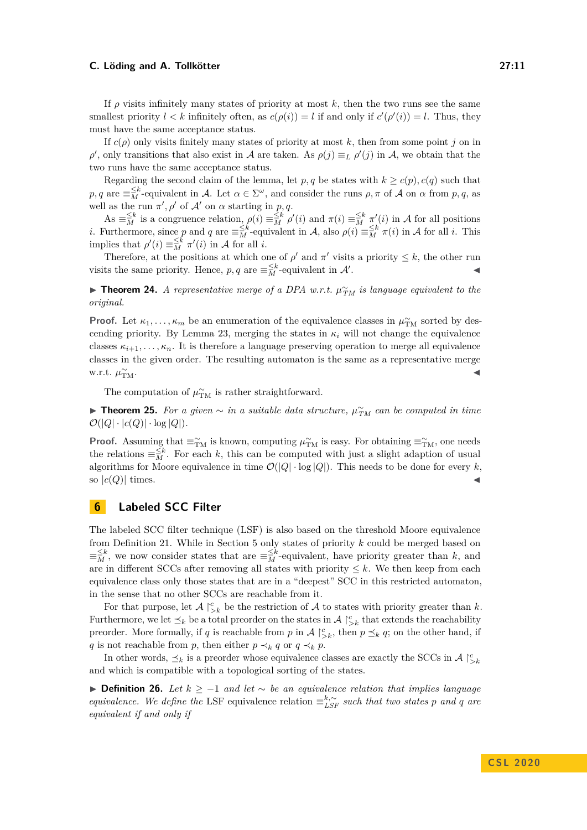If  $\rho$  visits infinitely many states of priority at most k, then the two runs see the same smallest priority  $l < k$  infinitely often, as  $c(\rho(i)) = l$  if and only if  $c'(\rho'(i)) = l$ . Thus, they must have the same acceptance status.

If  $c(\rho)$  only visits finitely many states of priority at most k, then from some point *j* on in *ρ*<sup>'</sup>, only transitions that also exist in A are taken. As  $ρ(j) \equiv_L ρ'(j)$  in A, we obtain that the two runs have the same acceptance status.

Regarding the second claim of the lemma, let *p*, *q* be states with  $k \geq c(p)$ ,  $c(q)$  such that  $p, q$  are  $\equiv \stackrel{\leq k}{M}$ -equivalent in A. Let  $\alpha \in \Sigma^{\omega}$ , and consider the runs  $\rho, \pi$  of A on  $\alpha$  from  $p, q$ , as well as the run  $\pi'$ ,  $\rho'$  of  $\mathcal{A}'$  on  $\alpha$  starting in  $p, q$ .

 $\mathbf{A}\mathbf{s} \equiv \mathbf{A}^k$  is a congruence relation,  $\rho(i) \equiv \mathbf{A}^k \rho'(i)$  and  $\pi(i) \equiv \mathbf{A}^k \pi'(i)$  in A for all positions *i*. Furthermore, since *p* and *q* are  $\equiv \frac{1}{M}$ -equivalent in A, also  $\rho(i) \equiv \frac{1}{M} \pi(i)$  in A for all *i*. This implies that  $\rho'(i) \equiv \frac{\leq k}{M} \pi'(i)$  in A for all *i*.

Therefore, at the positions at which one of  $\rho'$  and  $\pi'$  visits a priority  $\leq k$ , the other run visits the same priority. Hence,  $p, q$  are  $\equiv_M^{\leq k}$ -equivalent in  $\mathcal{A}'$ . The set of the set of  $\mathcal{A}$ 

► **Theorem 24.** *A representative merge of a DPA w.r.t.*  $\mu_{TM}^{\sim}$  *is language equivalent to the original.*

**Proof.** Let  $\kappa_1, \ldots, \kappa_m$  be an enumeration of the equivalence classes in  $\mu_{\text{TM}}^{\sim}$  sorted by des-cending priority. By Lemma [23,](#page-9-1) merging the states in  $\kappa_i$  will not change the equivalence classes  $\kappa_{i+1}, \ldots, \kappa_n$ . It is therefore a language preserving operation to merge all equivalence classes in the given order. The resulting automaton is the same as a representative merge w.r.t. *µ* ∼  $\widetilde{\text{TM}}$ .

The computation of  $\mu_{\text{TM}}^{\sim}$  is rather straightforward.

► **Theorem 25.** For a given  $\sim$  in a suitable data structure,  $\mu_{TM}^{\sim}$  can be computed in time  $\mathcal{O}(|Q| \cdot |c(Q)| \cdot \log |Q|)$ .

**Proof.** Assuming that  $\equiv_{\text{TM}}^{\sim}$  is known, computing  $\mu_{\text{TM}}^{\sim}$  is easy. For obtaining  $\equiv_{\text{TM}}^{\sim}$ , one needs the relations  $\equiv \frac{\leq k}{M}$ . For each *k*, this can be computed with just a slight adaption of usual algorithms for Moore equivalence in time  $\mathcal{O}(|Q| \cdot \log |Q|)$ . This needs to be done for every *k*, so  $|c(Q)|$  times.

### <span id="page-10-0"></span>**6 Labeled SCC Filter**

The labeled SCC filter technique (LSF) is also based on the threshold Moore equivalence from Definition [21.](#page-8-0) While in Section [5](#page-8-1) only states of priority *k* could be merged based on  $\equiv \frac{\leq k}{M}$ , we now consider states that are  $\equiv \frac{\leq k}{M}$ -equivalent, have priority greater than *k*, and are in different SCCs after removing all states with priority  $\leq k$ . We then keep from each equivalence class only those states that are in a "deepest" SCC in this restricted automaton, in the sense that no other SCCs are reachable from it.

For that purpose, let  $\mathcal{A} \upharpoonright_{\geq k}^c$  be the restriction of  $\mathcal A$  to states with priority greater than  $k$ . Furthermore, we let  $\preceq_k$  be a total preorder on the states in  $\mathcal{A}\restriction_{\geq k}^c$  that extends the reachability preorder. More formally, if *q* is reachable from *p* in  $\mathcal{A} \restriction_{\geq k}^c$ , then  $p \preceq_k q$ ; on the other hand, if *q* is not reachable from *p*, then either  $p \prec_k q$  or  $q \prec_k p$ .

In other words,  $\preceq_k$  is a preorder whose equivalence classes are exactly the SCCs in  $\mathcal{A} \restriction_{\geq k}^c$ and which is compatible with a topological sorting of the states.

**► Definition 26.** Let  $k > -1$  and let  $\sim$  be an equivalence relation that implies language *equivalence. We define the* LSF equivalence relation  $\equiv_{LSF}^{k, \sim}$  *such that two states p and q are equivalent if and only if*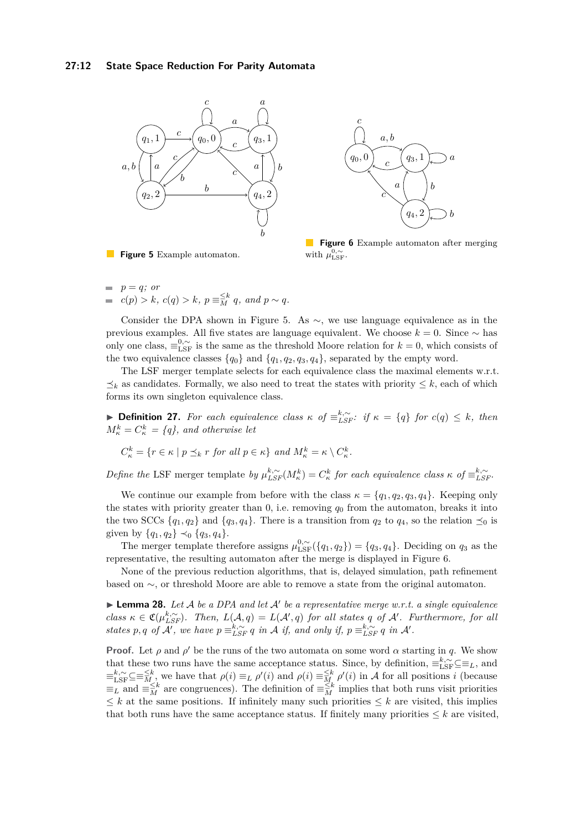<span id="page-11-0"></span>



**Figure 6** Example automaton after merging with  $\mu_{\text{LSF}}^{0,\sim}$ .

- **Figure 5** Example automaton.
- $p = q$ *; or*  $c(p) > k$ *,*  $c(q) > k$ *,*  $p \equiv \frac{\leq k}{M} q$ *, and*  $p \sim q$ *.*

Consider the DPA shown in Figure [5.](#page-11-0) As  $\sim$ , we use language equivalence as in the previous examples. All five states are language equivalent. We choose *k* = 0. Since ∼ has only one class,  $\equiv_{\text{LSF}}^{0,\sim}$  is the same as the threshold Moore relation for  $k = 0$ , which consists of the two equivalence classes  $\{q_0\}$  and  $\{q_1, q_2, q_3, q_4\}$ , separated by the empty word.

The LSF merger template selects for each equivalence class the maximal elements w.r.t.  $\leq_k$  as candidates. Formally, we also need to treat the states with priority  $\leq k$ , each of which forms its own singleton equivalence class.

**► Definition 27.** For each equivalence class  $\kappa$  of  $\equiv_{LSF}^{k,\sim}$ : if  $\kappa = \{q\}$  for  $c(q) \leq k$ , then  $M_{\kappa}^k = C_{\kappa}^k = \{q\}$ , and otherwise let

$$
C_{\kappa}^{k} = \{ r \in \kappa \mid p \preceq_{k} r \text{ for all } p \in \kappa \} \text{ and } M_{\kappa}^{k} = \kappa \setminus C_{\kappa}^{k}.
$$

*Define the* LSF merger template *by*  $\mu_{LSF}^{k, \sim}(M_{\kappa}^k) = C_{\kappa}^k$  for each equivalence class  $\kappa$  of  $\equiv_{LSF}^{k, \sim}$ .

We continue our example from before with the class  $\kappa = \{q_1, q_2, q_3, q_4\}$ . Keeping only the states with priority greater than 0, i.e. removing *q*<sup>0</sup> from the automaton, breaks it into the two SCCs  $\{q_1, q_2\}$  and  $\{q_3, q_4\}$ . There is a transition from  $q_2$  to  $q_4$ , so the relation  $\preceq_0$  is given by  $\{q_1, q_2\} \prec_0 \{q_3, q_4\}.$ 

The merger template therefore assigns  $\mu_{\text{LSF}}^{0,\sim}(\{q_1,q_2\}) = \{q_3,q_4\}$ . Deciding on  $q_3$  as the representative, the resulting automaton after the merge is displayed in Figure [6.](#page-11-0)

None of the previous reduction algorithms, that is, delayed simulation, path refinement based on ∼, or threshold Moore are able to remove a state from the original automaton.

<span id="page-11-1"></span> $\blacktriangleright$  **Lemma 28.** Let A be a DPA and let A' be a representative merge w.r.t. a single equivalence  $class \kappa \in \mathfrak{C}(\mu_{LSF}^{k,\sim})$ *. Then,*  $L(\mathcal{A}, q) = L(\mathcal{A}', q)$  *for all states q of*  $\mathcal{A}'$ *. Furthermore, for all states*  $p, q$  *of*  $\overline{A'}$ , we have  $p \equiv_{LSF}^{k, \sim} q$  *in*  $\overline{A}$  *if, and only if,*  $p \equiv_{LSF}^{k, \sim} q$  *in*  $\overline{A'}$ .

**Proof.** Let  $\rho$  and  $\rho'$  be the runs of the two automata on some word  $\alpha$  starting in q. We show that these two runs have the same acceptance status. Since, by definition,  $\equiv_{\text{LSF}}^{k, \sim} \subseteq \equiv_L$ , and  $\equiv_{\text{LSF}}^{k,\sim} \subseteq \equiv \frac{\leq k}{M}$ , we have that  $\rho(i) \equiv_L \rho'(i)$  and  $\rho(i) \equiv \frac{\leq k}{M} \rho'(i)$  in A for all positions *i* (because  $\equiv_L$  and  $\equiv_{\overline{M}}^{\leq k}$  are congruences). The definition of  $\equiv_{\overline{M}}^{\leq k}$  implies that both runs visit priorities  $\leq k$  at the same positions. If infinitely many such priorities  $\leq k$  are visited, this implies that both runs have the same acceptance status. If finitely many priorities  $\leq k$  are visited,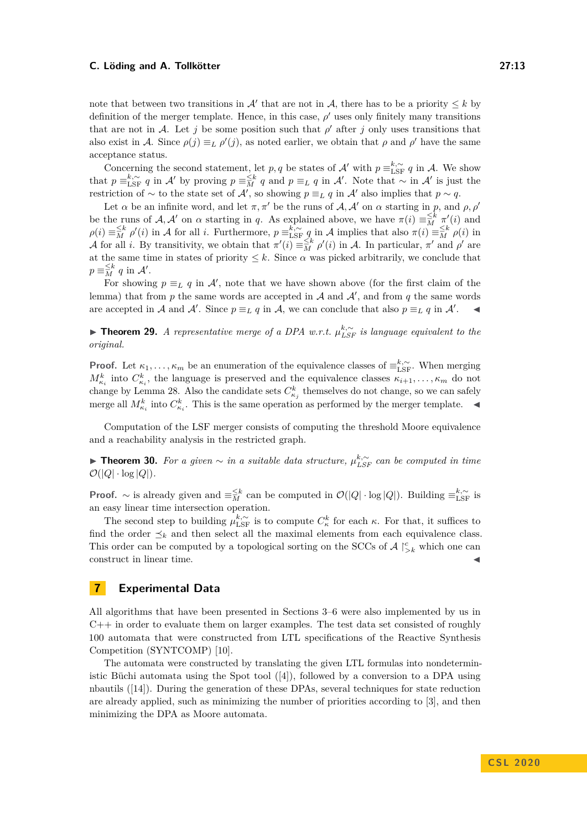note that between two transitions in  $\mathcal{A}'$  that are not in  $\mathcal{A}$ , there has to be a priority  $\leq k$  by definition of the merger template. Hence, in this case,  $\rho'$  uses only finitely many transitions that are not in A. Let *j* be some position such that  $\rho'$  after *j* only uses transitions that also exist in A. Since  $\rho(j) \equiv_L \rho'(j)$ , as noted earlier, we obtain that  $\rho$  and  $\rho'$  have the same acceptance status.

Concerning the second statement, let *p*, *q* be states of A' with  $p \equiv_{\text{LSF}}^{k,\sim} q$  in A. We show that  $p \equiv_{\text{LSF}}^{k,\sim} q$  in A' by proving  $p \equiv_{\text{M}}^{< k} q$  and  $p \equiv_L q$  in A'. Note that  $\sim$  in A' is just the restriction of  $\sim$  to the state set of  $\mathcal{A}'$ , so showing  $p \equiv_L q$  in  $\mathcal{A}'$  also implies that  $p \sim q$ .

Let  $\alpha$  be an infinite word, and let  $\pi, \pi'$  be the runs of  $\mathcal{A}, \mathcal{A}'$  on  $\alpha$  starting in p, and  $\rho, \rho'$ be the runs of  $\mathcal{A}, \mathcal{A}'$  on  $\alpha$  starting in *q*. As explained above, we have  $\pi(i) \equiv_M^{\leq k} \pi'(i)$  and  $\rho(i) \equiv \frac{\leq k}{M} \rho'(i)$  in A for all *i*. Furthermore,  $p \equiv_{\text{LSF}}^{k,\sim} q$  in A implies that also  $\pi(i) \equiv \frac{\leq k}{M} \rho(i)$  in A for all *i*. By transitivity, we obtain that  $\pi'(i) \equiv \frac{\leq k}{M} \rho'(i)$  in A. In particular,  $\pi'$  and  $\rho'$  are at the same time in states of priority  $\leq k$ . Since  $\alpha$  was picked arbitrarily, we conclude that  $p \equiv \frac{\leq k}{M} q$  in  $\mathcal{A}'$ .

For showing  $p \equiv_L q$  in  $\mathcal{A}'$ , note that we have shown above (for the first claim of the lemma) that from  $p$  the same words are accepted in  $A$  and  $A'$ , and from  $q$  the same words are accepted in A and A'. Since  $p \equiv_L q$  in A, we can conclude that also  $p \equiv_L q$  in A'.

I **Theorem 29.** *A representative merge of a DPA w.r.t. µ k,*∼ *LSF is language equivalent to the original.*

**Proof.** Let  $\kappa_1, \ldots, \kappa_m$  be an enumeration of the equivalence classes of  $\equiv_{\text{LSF}}^{k, \sim}$ . When merging  $M_{\kappa_i}^k$  into  $C_{\kappa_i}^k$ , the language is preserved and the equivalence classes  $\kappa_{i+1}, \ldots, \kappa_m$  do not change by Lemma [28.](#page-11-1) Also the candidate sets  $C_{\kappa_j}^k$  themselves do not change, so we can safely merge all  $M_{\kappa_i}^k$  into  $C_{\kappa_i}^k$ . This is the same operation as performed by the merger template.

Computation of the LSF merger consists of computing the threshold Moore equivalence and a reachability analysis in the restricted graph.

**► Theorem 30.** For a given  $\sim$  in a suitable data structure,  $\mu_{LSF}^{k,\sim}$  can be computed in time  $\mathcal{O}(|Q| \cdot \log |Q|)$ .

**Proof.** ∼ is already given and  $\equiv \frac{\leq k}{M}$  can be computed in  $\mathcal{O}(|Q| \cdot \log |Q|)$ . Building  $\equiv_{\text{LSF}}^{k, \sim}$  is an easy linear time intersection operation.

The second step to building  $\mu_{\text{LSF}}^{k,\sim}$  is to compute  $C_{\kappa}^{k}$  for each  $\kappa$ . For that, it suffices to find the order  $\preceq_k$  and then select all the maximal elements from each equivalence class. This order can be computed by a topological sorting on the SCCs of  $\mathcal{A} \restriction_{\geq k}^c$  which one can construct in linear time.

# <span id="page-12-0"></span>**7 Experimental Data**

All algorithms that have been presented in Sections [3–](#page-5-0)[6](#page-10-0) were also implemented by us in  $C++$  in order to evaluate them on larger examples. The test data set consisted of roughly 100 automata that were constructed from LTL specifications of the Reactive Synthesis Competition (SYNTCOMP) [\[10\]](#page-15-12).

The automata were constructed by translating the given LTL formulas into nondeterministic Büchi automata using the Spot tool  $([4])$  $([4])$  $([4])$ , followed by a conversion to a DPA using nbautils ([\[14\]](#page-15-13)). During the generation of these DPAs, several techniques for state reduction are already applied, such as minimizing the number of priorities according to [\[3\]](#page-14-6), and then minimizing the DPA as Moore automata.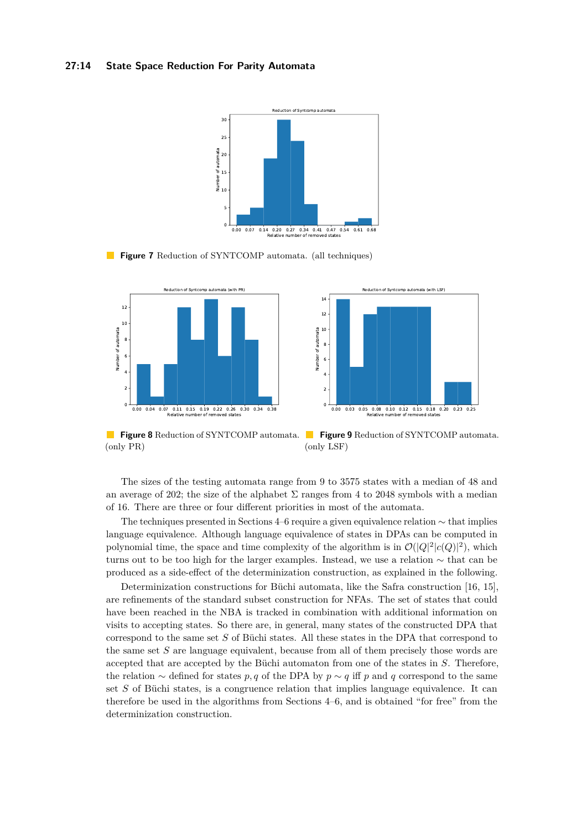#### <span id="page-13-0"></span>**27:14 State Space Reduction For Parity Automata**



**Figure 7** Reduction of SYNTCOMP automata. (all techniques)

<span id="page-13-1"></span>

**Figure 8** Reduction of SYNTCOMP automata. **Figure 9** Reduction of SYNTCOMP automata. (only PR) (only LSF)

The sizes of the testing automata range from 9 to 3575 states with a median of 48 and an average of 202; the size of the alphabet  $\Sigma$  ranges from 4 to 2048 symbols with a median of 16. There are three or four different priorities in most of the automata.

The techniques presented in Sections [4–](#page-6-0)[6](#page-10-0) require a given equivalence relation ∼ that implies language equivalence. Although language equivalence of states in DPAs can be computed in polynomial time, the space and time complexity of the algorithm is in  $\mathcal{O}(|Q|^2 |c(Q)|^2)$ , which turns out to be too high for the larger examples. Instead, we use a relation ∼ that can be produced as a side-effect of the determinization construction, as explained in the following.

Determinization constructions for Büchi automata, like the Safra construction [\[16,](#page-15-14) [15\]](#page-15-15), are refinements of the standard subset construction for NFAs. The set of states that could have been reached in the NBA is tracked in combination with additional information on visits to accepting states. So there are, in general, many states of the constructed DPA that correspond to the same set *S* of Büchi states. All these states in the DPA that correspond to the same set *S* are language equivalent, because from all of them precisely those words are accepted that are accepted by the Büchi automaton from one of the states in *S*. Therefore, the relation  $\sim$  defined for states *p, q* of the DPA by  $p \sim q$  iff *p* and *q* correspond to the same set *S* of Büchi states, is a congruence relation that implies language equivalence. It can therefore be used in the algorithms from Sections [4–](#page-6-0)[6,](#page-10-0) and is obtained "for free" from the determinization construction.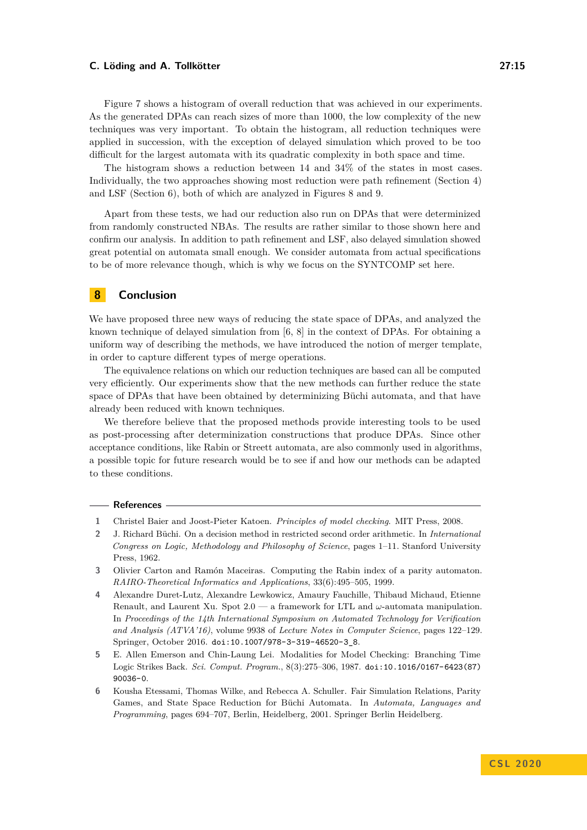Figure [7](#page-13-0) shows a histogram of overall reduction that was achieved in our experiments. As the generated DPAs can reach sizes of more than 1000, the low complexity of the new techniques was very important. To obtain the histogram, all reduction techniques were applied in succession, with the exception of delayed simulation which proved to be too difficult for the largest automata with its quadratic complexity in both space and time.

The histogram shows a reduction between 14 and 34% of the states in most cases. Individually, the two approaches showing most reduction were path refinement (Section [4\)](#page-6-0) and LSF (Section [6\)](#page-10-0), both of which are analyzed in Figures [8](#page-13-1) and [9.](#page-13-1)

Apart from these tests, we had our reduction also run on DPAs that were determinized from randomly constructed NBAs. The results are rather similar to those shown here and confirm our analysis. In addition to path refinement and LSF, also delayed simulation showed great potential on automata small enough. We consider automata from actual specifications to be of more relevance though, which is why we focus on the SYNTCOMP set here.

# <span id="page-14-4"></span>**8 Conclusion**

We have proposed three new ways of reducing the state space of DPAs, and analyzed the known technique of delayed simulation from [\[6,](#page-14-3) [8\]](#page-15-11) in the context of DPAs. For obtaining a uniform way of describing the methods, we have introduced the notion of merger template, in order to capture different types of merge operations.

The equivalence relations on which our reduction techniques are based can all be computed very efficiently. Our experiments show that the new methods can further reduce the state space of DPAs that have been obtained by determinizing Büchi automata, and that have already been reduced with known techniques.

We therefore believe that the proposed methods provide interesting tools to be used as post-processing after determinization constructions that produce DPAs. Since other acceptance conditions, like Rabin or Streett automata, are also commonly used in algorithms, a possible topic for future research would be to see if and how our methods can be adapted to these conditions.

#### **References**

- <span id="page-14-1"></span>**1** Christel Baier and Joost-Pieter Katoen. *Principles of model checking*. MIT Press, 2008.
- <span id="page-14-0"></span>**2** J. Richard Büchi. On a decision method in restricted second order arithmetic. In *International Congress on Logic, Methodology and Philosophy of Science*, pages 1–11. Stanford University Press, 1962.
- <span id="page-14-6"></span>**3** Olivier Carton and Ramón Maceiras. Computing the Rabin index of a parity automaton. *RAIRO-Theoretical Informatics and Applications*, 33(6):495–505, 1999.
- <span id="page-14-5"></span>**4** Alexandre Duret-Lutz, Alexandre Lewkowicz, Amaury Fauchille, Thibaud Michaud, Etienne Renault, and Laurent Xu. Spot 2.0 — a framework for LTL and *ω*-automata manipulation. In *Proceedings of the 14th International Symposium on Automated Technology for Verification and Analysis (ATVA'16)*, volume 9938 of *Lecture Notes in Computer Science*, pages 122–129. Springer, October 2016. [doi:10.1007/978-3-319-46520-3\\_8](https://doi.org/10.1007/978-3-319-46520-3_8).
- <span id="page-14-2"></span>**5** E. Allen Emerson and Chin-Laung Lei. Modalities for Model Checking: Branching Time Logic Strikes Back. *Sci. Comput. Program.*, 8(3):275–306, 1987. [doi:10.1016/0167-6423\(87\)](https://doi.org/10.1016/0167-6423(87)90036-0) [90036-0](https://doi.org/10.1016/0167-6423(87)90036-0).
- <span id="page-14-3"></span>**6** Kousha Etessami, Thomas Wilke, and Rebecca A. Schuller. Fair Simulation Relations, Parity Games, and State Space Reduction for Büchi Automata. In *Automata, Languages and Programming*, pages 694–707, Berlin, Heidelberg, 2001. Springer Berlin Heidelberg.